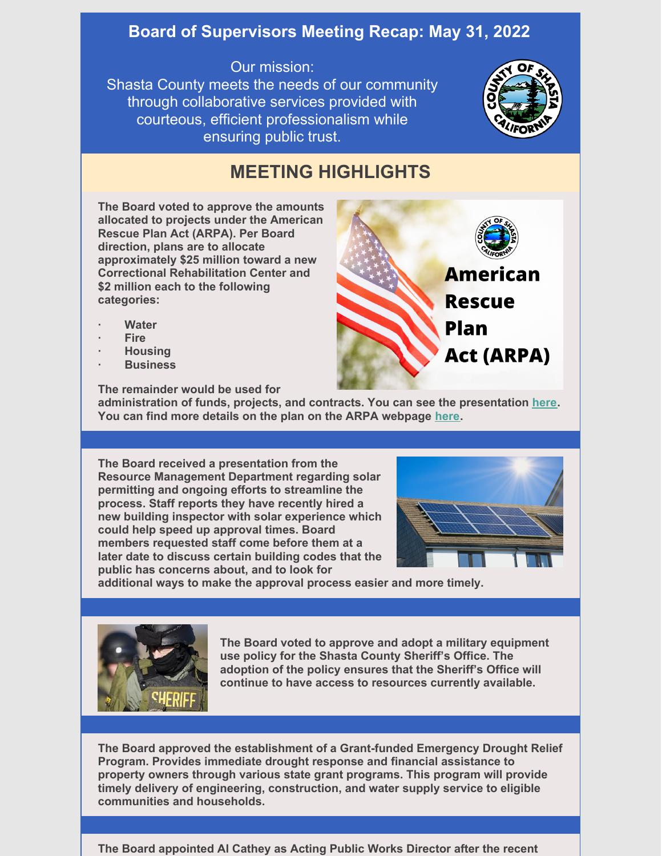## **Board of Supervisors Meeting Recap: May 31, 2022**

## Our mission:

Shasta County meets the needs of our community through collaborative services provided with courteous, efficient professionalism while ensuring public trust.



## **MEETING HIGHLIGHTS**

**The Board voted to approve the amounts allocated to projects under the American Rescue Plan Act (ARPA). Per Board direction, plans are to allocate approximately \$25 million toward a new Correctional Rehabilitation Center and \$2 million each to the following categories:**



- **· Water**
- **· Fire**
- **· Housing**
- **· Business**

**The remainder would be used for**

**administration of funds, projects, and contracts. You can see the presentation [here](https://youtu.be/pcc85LMdmY4). You can find more details on the plan on the ARPA webpage [here](https://www.co.shasta.ca.us/index/cao/american-rescue-plan-act-(arpa)).**

**The Board received a presentation from the Resource Management Department regarding solar permitting and ongoing efforts to streamline the process. Staff reports they have recently hired a new building inspector with solar experience which could help speed up approval times. Board members requested staff come before them at a later date to discuss certain building codes that the public has concerns about, and to look for**



**additional ways to make the approval process easier and more timely.**



**The Board voted to approve and adopt a military equipment use policy for the Shasta County Sheriff's Office. The adoption of the policy ensures that the Sheriff's Office will continue to have access to resources currently available.**

**The Board approved the establishment of a Grant-funded Emergency Drought Relief Program. Provides immediate drought response and financial assistance to property owners through various state grant programs. This program will provide timely delivery of engineering, construction, and water supply service to eligible communities and households.**

**The Board appointed Al Cathey as Acting Public Works Director after the recent**